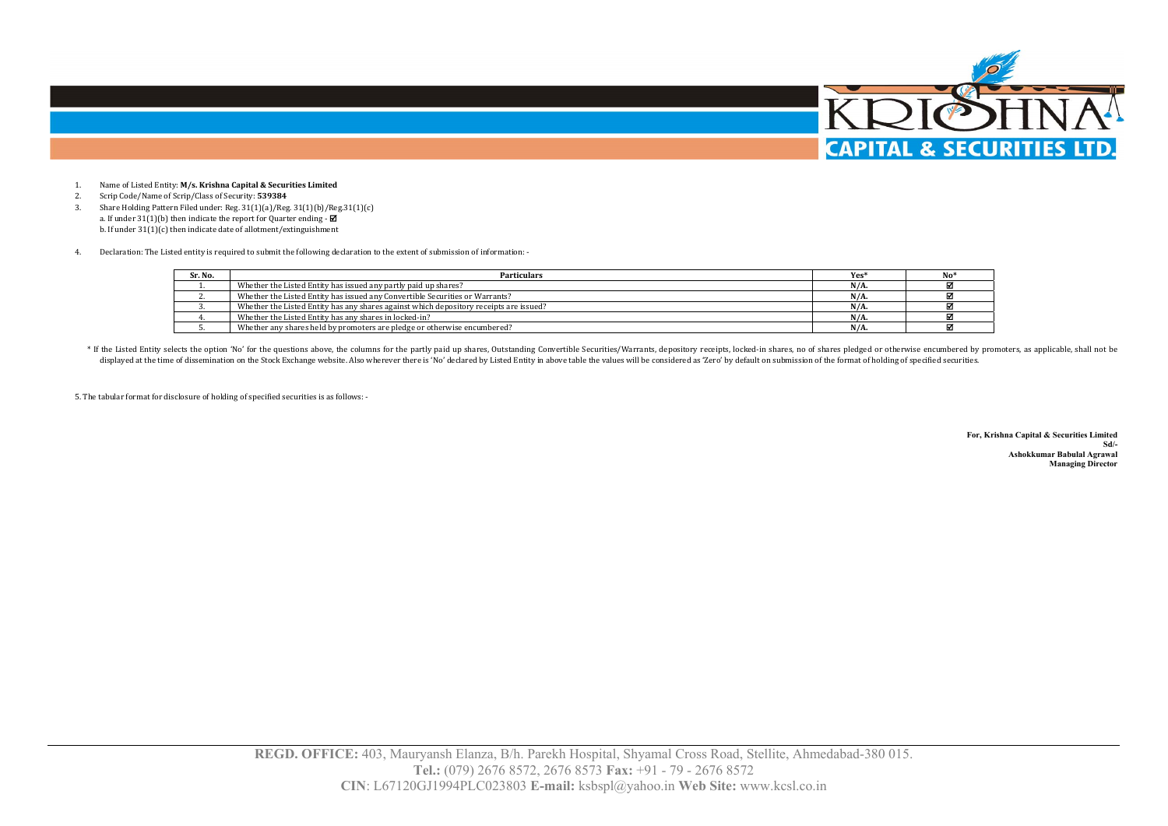

- 1.Name of Listed Entity: **M/s. Krishna Capital & Securities Limited**
- 2.Scrip Code/Name of Scrip/Class of Security: **539384**
- 3. Share Holding Pattern Filed under: Reg. 31(1)(a)/Reg. 31(1)(b)/Reg.31(1)(c) a. If under  $31(1)(b)$  then indicate the report for Quarter ending -  $\blacksquare$ b. If under 31(1)(c) then indicate date of allotment/extinguishment
- 4.Declaration: The Listed entity is required to submit the following declaration to the extent of submission of information: -

| Sr. No. | <b>Particulars</b>                                                                     | Yes <sup>*</sup> |  |
|---------|----------------------------------------------------------------------------------------|------------------|--|
|         | Whether the Listed Entity has issued any partly paid up shares?                        | $N/A$ .          |  |
|         | Whether the Listed Entity has issued any Convertible Securities or Warrants?           | $N/A$ .          |  |
|         | Whether the Listed Entity has any shares against which depository receipts are issued? | $N/A$ .          |  |
|         | Whether the Listed Entity has any shares in locked-in?                                 | $N/A$ .          |  |
|         | Whether any shares held by promoters are pledge or otherwise encumbered?               | $N/A$ .          |  |

\* If the Listed Entity selects the option 'No' for the questions above, the columns for the partly paid up shares, Outstanding Convertible Securities/Warrants, depository receipts, locked-in shares, no of shares pledged or displayed at the time of dissemination on the Stock Exchange website. Also wherever there is 'No' declared by Listed Entity in above table the values will be considered as 'Zero' by default on submission of the format of h

5. The tabular format for disclosure of holding of specified securities is as follows: -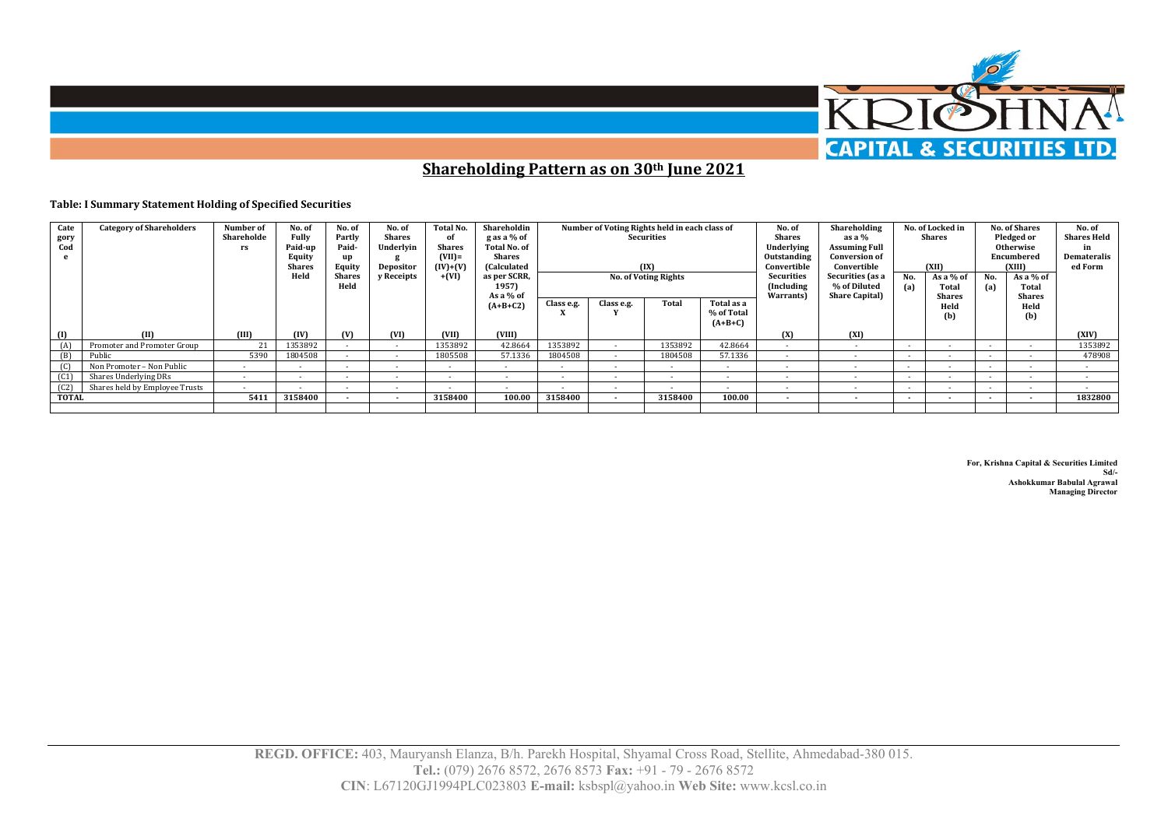

**Shareholding Pattern as on 30th June 2021**

## **Table: I Summary Statement Holding of Specified Securities**

| Cate<br>gory<br>Cod<br>e | <b>Category of Shareholders</b> | Number of<br>Shareholde<br>rs | No. of<br>Fully<br>Paid-up<br>Equity<br><b>Shares</b><br>Held | No. of<br>Partly<br>Paid-<br>up<br>Equity<br><b>Shares</b><br>Held | No. of<br><b>Shares</b><br>Underlyin<br>Depositor<br><b>v</b> Receipts | Total No.<br>of<br><b>Shares</b><br>$(VII)$ =<br>$(IV)+(V)$<br>$+(VI)$ | Shareholdin<br>g as a % of<br><b>Total No. of</b><br><b>Shares</b><br>(Calculated<br>as per SCRR,<br>1957)<br>As a % of |            | Number of Voting Rights held in each class of | <b>Securities</b><br>(IX)<br><b>No. of Voting Rights</b> |                                       | No. of<br><b>Shares</b><br>Underlying<br>Outstanding<br>Convertible<br><b>Securities</b><br>(Including<br>Warrants) | Shareholding<br>as a $%$<br><b>Assuming Full</b><br><b>Conversion of</b><br>Convertible<br>Securities (as a<br><b>% of Diluted</b><br><b>Share Capital</b> ) | No.<br>(a)               | No. of Locked in<br><b>Shares</b><br>(XII)<br>As a % of<br>Total<br><b>Shares</b> | No.<br>(a)               | <b>No. of Shares</b><br>Pledged or<br><b>Otherwise</b><br>Encumbered<br>(XIII)<br>As a % of<br>Total<br><b>Shares</b> | No. of<br><b>Shares Held</b><br>in<br><b>Demateralis</b><br>ed Form |
|--------------------------|---------------------------------|-------------------------------|---------------------------------------------------------------|--------------------------------------------------------------------|------------------------------------------------------------------------|------------------------------------------------------------------------|-------------------------------------------------------------------------------------------------------------------------|------------|-----------------------------------------------|----------------------------------------------------------|---------------------------------------|---------------------------------------------------------------------------------------------------------------------|--------------------------------------------------------------------------------------------------------------------------------------------------------------|--------------------------|-----------------------------------------------------------------------------------|--------------------------|-----------------------------------------------------------------------------------------------------------------------|---------------------------------------------------------------------|
|                          |                                 |                               |                                                               |                                                                    |                                                                        |                                                                        | $(A+B+C2)$                                                                                                              | Class e.g. | Class e.g.                                    | <b>Total</b>                                             | Total as a<br>% of Total<br>$(A+B+C)$ |                                                                                                                     |                                                                                                                                                              |                          | Held<br>(b)                                                                       |                          | Held<br>(b)                                                                                                           |                                                                     |
| (1)                      |                                 | (III)                         | (IV)                                                          | M                                                                  | (VI)                                                                   | (VII)                                                                  | (VIII)                                                                                                                  |            |                                               |                                                          |                                       | (X)                                                                                                                 | (XI)                                                                                                                                                         |                          |                                                                                   |                          |                                                                                                                       | (XIV)                                                               |
| (A)                      | Promoter and Promoter Group     | 21                            | 1353892                                                       |                                                                    | $\sim$                                                                 | 1353892                                                                | 42.8664                                                                                                                 | 1353892    | $\sim$                                        | 1353892                                                  | 42.8664                               | $\sim$                                                                                                              |                                                                                                                                                              | $\overline{\phantom{a}}$ | $\overline{\phantom{a}}$                                                          |                          |                                                                                                                       | 1353892                                                             |
| (B)                      | Public                          | 5390                          | 1804508                                                       |                                                                    |                                                                        | 1805508                                                                | 57.1336                                                                                                                 | 1804508    |                                               | 1804508                                                  | 57.1336                               |                                                                                                                     |                                                                                                                                                              |                          |                                                                                   |                          |                                                                                                                       | 478908                                                              |
| (C)                      | Non Promoter - Non Public       |                               | $\overline{\phantom{a}}$                                      |                                                                    | $\sim$                                                                 | $\sim$                                                                 | $\sim$                                                                                                                  | $\sim$     | $\sim$                                        | $\sim$                                                   | $\sim$                                | $\sim$                                                                                                              | $\sim$                                                                                                                                                       | $\sim$                   | $\overline{\phantom{a}}$                                                          | $\overline{\phantom{a}}$ |                                                                                                                       | $\sim$                                                              |
| (C1)                     | Shares Underlying DRs           | $\sim$                        | $\overline{\phantom{a}}$                                      |                                                                    | $\sim$                                                                 | $\sim$                                                                 | $\sim$                                                                                                                  | $\sim$     | $\sim$                                        | . .                                                      | $\sim$                                | $\sim$                                                                                                              | $\sim$                                                                                                                                                       | . .                      | $\overline{\phantom{a}}$                                                          | $\overline{\phantom{a}}$ |                                                                                                                       |                                                                     |
| (C2)                     | Shares held by Employee Trusts  | $\sim$                        | $\overline{\phantom{a}}$                                      |                                                                    | $\sim$                                                                 | $\sim$                                                                 | $\overline{\phantom{a}}$                                                                                                | $\sim$     | $\sim$                                        | $\overline{\phantom{a}}$                                 | $\sim$                                | $\sim$                                                                                                              | $\sim$                                                                                                                                                       | $\overline{\phantom{a}}$ | $\sim$                                                                            |                          |                                                                                                                       |                                                                     |
| <b>TOTAL</b>             |                                 | 5411                          | 3158400                                                       |                                                                    | $\sim$                                                                 | 3158400                                                                | 100.00                                                                                                                  | 3158400    |                                               | 3158400                                                  | 100.00                                | $\sim$                                                                                                              | $\sim$                                                                                                                                                       | $\sim$                   | $\overline{\phantom{a}}$                                                          | $\overline{\phantom{a}}$ | $\sim$                                                                                                                | 1832800                                                             |
|                          |                                 |                               |                                                               |                                                                    |                                                                        |                                                                        |                                                                                                                         |            |                                               |                                                          |                                       |                                                                                                                     |                                                                                                                                                              |                          |                                                                                   |                          |                                                                                                                       |                                                                     |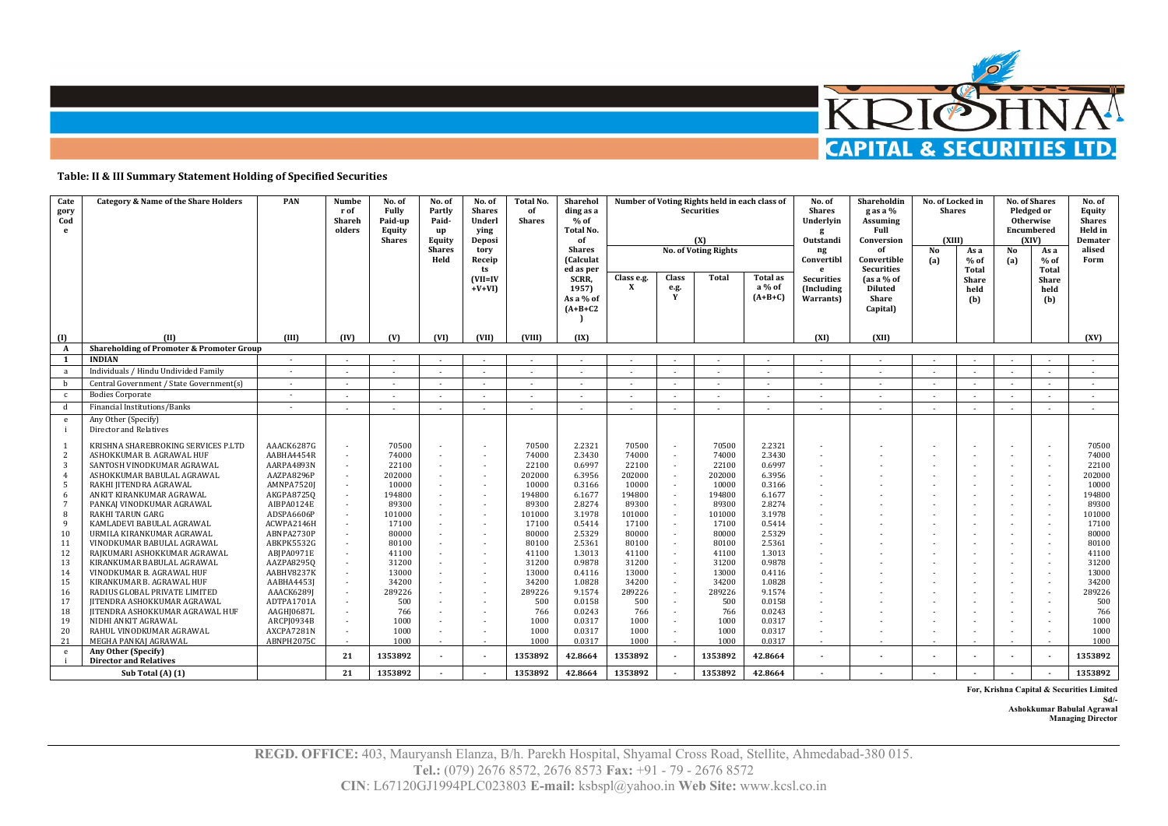

## **Table: II & III Summary Statement Holding of Specified Securities**

| Cate<br>gory<br>Cod<br>e | <b>Category &amp; Name of the Share Holders</b>                  | PAN                      | Numbe<br>r of<br>Shareh<br>olders | No. of<br>Fully<br>Paid-up<br>Equity<br><b>Shares</b> | No. of<br>Partly<br>Paid-<br>up<br>Equity | No. of<br><b>Shares</b><br>Underl<br>ving<br>Deposi | Total No.<br>of<br><b>Shares</b> | Sharehol<br>ding as a<br>$%$ of<br><b>Total No.</b><br>of   |                            |                    | Number of Voting Rights held in each class of<br><b>Securities</b><br>(X) |                                 | No. of<br>Shares<br>Underlyin<br>g<br>Outstandi | Shareholdin<br>g as a %<br><b>Assuming</b><br>Full<br>Conversion       | No. of Locked in<br><b>Shares</b><br><b>CXIII)</b> |                                      |                | <b>No. of Shares</b><br>Pledged or<br><b>Otherwise</b><br>Encumbered<br><b>CXIV)</b> | No. of<br>Equity<br><b>Shares</b><br>Held in<br>Demater |
|--------------------------|------------------------------------------------------------------|--------------------------|-----------------------------------|-------------------------------------------------------|-------------------------------------------|-----------------------------------------------------|----------------------------------|-------------------------------------------------------------|----------------------------|--------------------|---------------------------------------------------------------------------|---------------------------------|-------------------------------------------------|------------------------------------------------------------------------|----------------------------------------------------|--------------------------------------|----------------|--------------------------------------------------------------------------------------|---------------------------------------------------------|
|                          |                                                                  |                          |                                   |                                                       | <b>Shares</b><br>Held                     | tory<br>Receip<br>ts                                |                                  | <b>Shares</b><br><b>Calculat</b>                            |                            |                    | <b>No. of Voting Rights</b>                                               |                                 | ng<br>Convertibl<br>$\mathbf{e}$                | No<br>(a)                                                              | As a<br>$%$ of                                     | No<br>(a)                            | As a<br>$%$ of | alised<br>Form                                                                       |                                                         |
|                          |                                                                  |                          |                                   |                                                       |                                           | $(VII=IV)$<br>$+V+VI$                               |                                  | ed as per<br><b>SCRR</b><br>1957)<br>As a % of<br>$(A+B+C2$ | Class e.g.<br>$\mathbf{x}$ | Class<br>e.g.<br>Y | Total                                                                     | Total as<br>a % of<br>$(A+B+C)$ | <b>Securities</b><br>(Including)<br>Warrants)   | <b>Securities</b><br>(as a % of<br><b>Diluted</b><br>Share<br>Capital) |                                                    | Total<br><b>Share</b><br>held<br>(b) |                | Total<br><b>Share</b><br>held<br>(b)                                                 |                                                         |
| (1)                      | (II)                                                             | (III)                    | (IV)                              | (V)                                                   | (VI)                                      | (VII)                                               | (VIII)                           | (IX)                                                        |                            |                    |                                                                           |                                 | (XI)                                            | (XI)                                                                   |                                                    |                                      |                |                                                                                      | (XV)                                                    |
| $\mathbf{A}$             | Shareholding of Promoter & Promoter Group                        |                          |                                   |                                                       |                                           |                                                     |                                  |                                                             |                            |                    |                                                                           |                                 |                                                 |                                                                        |                                                    |                                      |                |                                                                                      |                                                         |
| <sup>1</sup>             | <b>INDIAN</b>                                                    | $\sim$                   | $\overline{\phantom{a}}$          |                                                       |                                           | $\sim$                                              |                                  | $\sim$                                                      |                            |                    |                                                                           |                                 | $\sim$                                          | $\sim$                                                                 |                                                    |                                      |                | $\sim$                                                                               |                                                         |
| a                        | Individuals / Hindu Undivided Family                             | $\sim$                   |                                   |                                                       |                                           |                                                     |                                  |                                                             |                            |                    |                                                                           |                                 | ٠                                               | $\sim$                                                                 |                                                    |                                      |                | $\sim$                                                                               | $\sim$                                                  |
| b                        | Central Government / State Government(s)                         | $\sim$                   | $\sim$                            | $\sim$                                                |                                           | $\sim$                                              | $\overline{\phantom{a}}$         | $\sim$                                                      | $\sim$                     |                    |                                                                           | $\overline{\phantom{a}}$        | $\sim$                                          | $\sim$                                                                 | $\sim$                                             |                                      |                | $\sim$                                                                               | $\sim$                                                  |
| $\mathbf{c}$             | <b>Bodies Corporate</b>                                          |                          |                                   |                                                       |                                           |                                                     |                                  |                                                             |                            |                    |                                                                           |                                 |                                                 | $\sim$                                                                 |                                                    |                                      |                | $\sim$                                                                               |                                                         |
| d                        | Financial Institutions/Banks                                     | $\sim$                   |                                   |                                                       |                                           | $\sim$                                              |                                  |                                                             |                            |                    |                                                                           |                                 |                                                 |                                                                        | $\sim$                                             |                                      |                | $\sim$                                                                               |                                                         |
| e                        | Any Other (Specify)<br>Director and Relatives                    |                          |                                   |                                                       |                                           |                                                     |                                  |                                                             |                            |                    |                                                                           |                                 |                                                 |                                                                        |                                                    |                                      |                |                                                                                      |                                                         |
| 2                        | KRISHNA SHAREBROKING SERVICES P.LTD<br>ASHOKKUMAR B. AGRAWAL HUF | AAACK6287G<br>AABHA4454R | $\sim$                            | 70500<br>74000                                        |                                           | ٠<br>٠                                              | 70500<br>74000                   | 2.2321<br>2.3430                                            | 70500<br>74000             |                    | 70500<br>74000                                                            | 2.2321<br>2.3430                |                                                 |                                                                        |                                                    |                                      |                | $\sim$<br>$\sim$                                                                     | 70500<br>74000                                          |
| 3                        | SANTOSH VINODKUMAR AGRAWAL                                       | AARPA4893N               |                                   | 22100                                                 |                                           |                                                     | 22100                            | 0.6997                                                      | 22100                      |                    | 22100                                                                     | 0.6997                          |                                                 |                                                                        |                                                    |                                      |                | $\sim$                                                                               | 22100                                                   |
|                          | ASHOKKUMAR BABULAL AGRAWAL                                       | AAZPA8296P               |                                   | 202000                                                |                                           | ٠                                                   | 202000                           | 6.3956                                                      | 202000                     |                    | 202000                                                                    | 6.3956                          |                                                 |                                                                        |                                                    |                                      |                | $\sim$                                                                               | 202000                                                  |
| 5                        | RAKHI JITENDRA AGRAWAL                                           | AMNPA7520J               |                                   | 10000                                                 |                                           |                                                     | 10000                            | 0.3166                                                      | 10000                      |                    | 10000                                                                     | 0.3166                          |                                                 |                                                                        |                                                    |                                      |                | $\sim$                                                                               | 10000                                                   |
| 6                        | ANKIT KIRANKUMAR AGRAWAL                                         | <b>AKGPA87250</b>        | $\overline{\phantom{a}}$          | 194800                                                |                                           | $\overline{a}$                                      | 194800                           | 6.1677                                                      | 194800                     |                    | 194800                                                                    | 6.1677                          |                                                 |                                                                        |                                                    |                                      |                | $\sim$                                                                               | 194800                                                  |
|                          | PANKAJ VINODKUMAR AGRAWAL<br><b>RAKHI TARUN GARG</b>             | AIBPA0124E               |                                   | 89300                                                 |                                           |                                                     | 89300                            | 2.8274                                                      | 89300                      |                    | 89300                                                                     | 2.8274<br>3.1978                |                                                 |                                                                        |                                                    |                                      |                | $\sim$                                                                               | 89300                                                   |
| 8<br>-9                  | KAMLADEVI BABULAL AGRAWAL                                        | ADSPA6606P<br>ACWPA2146H |                                   | 101000<br>17100                                       |                                           | ٠<br>٠                                              | 101000<br>17100                  | 3.1978<br>0.5414                                            | 101000<br>17100            |                    | 101000<br>17100                                                           | 0.5414                          |                                                 |                                                                        |                                                    |                                      |                | $\sim$<br>$\sim$                                                                     | 101000<br>17100                                         |
| 10                       | URMILA KIRANKUMAR AGRAWAL                                        | ABNPA2730P               | $\sim$                            | 80000                                                 |                                           | ٠                                                   | 80000                            | 2.5329                                                      | 80000                      |                    | 80000                                                                     | 2.5329                          |                                                 |                                                                        |                                                    |                                      |                | $\sim$                                                                               | 80000                                                   |
| 11                       | VINODKUMAR BABULAL AGRAWAL                                       | ABKPK5532G               |                                   | 80100                                                 |                                           | ٠                                                   | 80100                            | 2.5361                                                      | 80100                      |                    | 80100                                                                     | 2.5361                          |                                                 |                                                                        |                                                    |                                      |                | $\sim$                                                                               | 80100                                                   |
| 12                       | RAJKUMARI ASHOKKUMAR AGRAWAL                                     | ABIPA0971E               |                                   | 41100                                                 |                                           | ٠                                                   | 41100                            | 1.3013                                                      | 41100                      |                    | 41100                                                                     | 1.3013                          |                                                 |                                                                        |                                                    |                                      |                | $\sim$                                                                               | 41100                                                   |
| 13                       | KIRANKUMAR BABULAL AGRAWAL                                       | AAZPA82950               |                                   | 31200                                                 |                                           |                                                     | 31200                            | 0.9878                                                      | 31200                      |                    | 31200                                                                     | 0.9878                          |                                                 |                                                                        |                                                    |                                      |                | $\sim$                                                                               | 31200                                                   |
| 14                       | VINODKUMAR B. AGRAWAL HUF                                        | AABHV8237K               | $\overline{\phantom{a}}$          | 13000                                                 |                                           | ٠                                                   | 13000                            | 0.4116                                                      | 13000                      |                    | 13000                                                                     | 0.4116                          |                                                 |                                                                        |                                                    |                                      |                | $\sim$                                                                               | 13000                                                   |
| 15                       | KIRANKUMAR B. AGRAWAL HUF                                        | AABHA4453J               |                                   | 34200                                                 |                                           |                                                     | 34200                            | 1.0828                                                      | 34200                      |                    | 34200                                                                     | 1.0828                          |                                                 |                                                                        |                                                    |                                      |                | $\sim$                                                                               | 34200                                                   |
| 16                       | RADIUS GLOBAL PRIVATE LIMITED                                    | AAACK6289I               | ٠.                                | 289226                                                |                                           | ٠                                                   | 289226                           | 9.1574                                                      | 289226                     |                    | 289226                                                                    | 9.1574                          |                                                 |                                                                        |                                                    |                                      |                | $\sim$                                                                               | 289226                                                  |
| 17                       | JITENDRA ASHOKKUMAR AGRAWAL                                      | ADTPA1701A               |                                   | 500                                                   |                                           |                                                     | 500                              | 0.0158                                                      | 500                        |                    | 500                                                                       | 0.0158                          |                                                 |                                                                        |                                                    |                                      |                |                                                                                      | 500                                                     |
| 18                       | <b>JITENDRA ASHOKKUMAR AGRAWAL HUF</b>                           | AAGHJ0687L               |                                   | 766                                                   |                                           | ٠                                                   | 766                              | 0.0243                                                      | 766                        |                    | 766                                                                       | 0.0243                          |                                                 |                                                                        |                                                    |                                      |                | ٠                                                                                    | 766                                                     |
| 19                       | NIDHI ANKIT AGRAWAL                                              | ARCPJ0934B               |                                   | 1000                                                  |                                           |                                                     | 1000                             | 0.0317                                                      | 1000                       |                    | 1000                                                                      | 0.0317                          |                                                 |                                                                        |                                                    |                                      |                | ٠                                                                                    | 1000                                                    |
| 20                       | RAHUL VINODKUMAR AGRAWAL                                         | AXCPA7281N               |                                   | 1000                                                  |                                           | ٠                                                   | 1000                             | 0.0317                                                      | 1000                       |                    | 1000                                                                      | 0.0317                          |                                                 |                                                                        |                                                    |                                      |                | $\sim$                                                                               | 1000                                                    |
| 21                       | MEGHA PANKAJ AGRAWAL                                             | ABNPH2075C               |                                   | 1000                                                  |                                           |                                                     | 1000                             | 0.0317                                                      | 1000                       |                    | 1000                                                                      | 0.0317                          |                                                 |                                                                        |                                                    |                                      |                |                                                                                      | 1000                                                    |
| e                        | Any Other (Specify)<br><b>Director and Relatives</b>             |                          | 21                                | 1353892                                               |                                           | $\overline{\phantom{a}}$                            | 1353892                          | 42.8664                                                     | 1353892                    |                    | 1353892                                                                   | 42.8664                         | $\overline{\phantom{a}}$                        | $\overline{\phantom{a}}$                                               |                                                    |                                      |                | $\sim$                                                                               | 1353892                                                 |
|                          | Sub Total (A) (1)                                                |                          | 21                                | 1353892                                               |                                           |                                                     | 1353892                          | 42.8664                                                     | 1353892                    |                    | 1353892                                                                   | 42.8664                         |                                                 |                                                                        |                                                    |                                      |                |                                                                                      | 1353892                                                 |

**For, Krishna Capital & Securities Limited** 

**Sd/- Ashokkumar Babulal Agrawal** 

**Managing Director**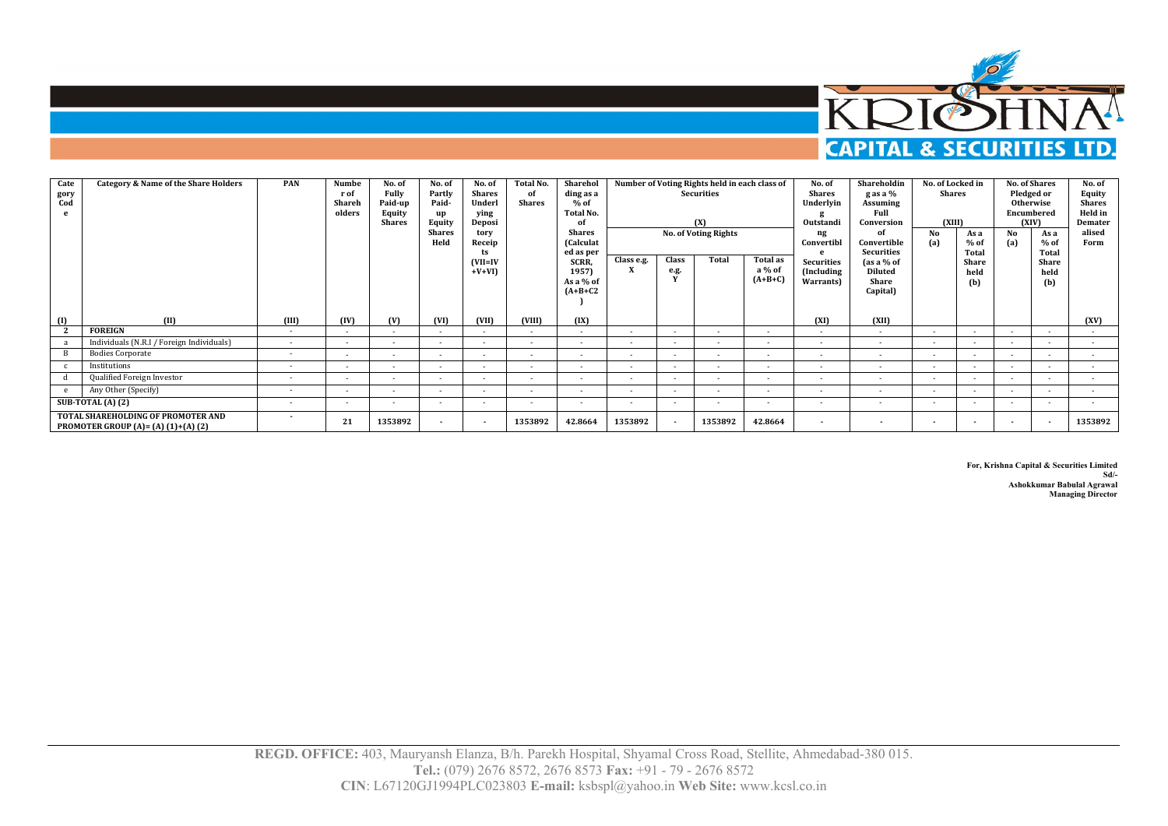

| Cate<br>gory<br>Cod | <b>Category &amp; Name of the Share Holders</b>                              | <b>PAN</b> | Numbe<br>r of<br>Shareh<br>olders | No. of<br>Fully<br>Paid-up<br><b>Equity</b><br><b>Shares</b> | No. of<br>Partly<br>Paid-<br>up<br><b>Equity</b><br><b>Shares</b><br>Held | No. of<br>Shares<br>Underl<br>ying<br>Deposi<br>tory<br>Receip<br>ts<br>$(VII=IV)$<br>$+V+VI$ | Total No.<br>of<br>Shares | Sharehol<br>ding as a<br>$%$ of<br>Total No.<br>$\Omega$<br><b>Shares</b><br>(Calculat<br>ed as per<br>SCRR,<br>1957)<br>As a % of<br>$(A+B+C2$ | Class e.g.               | Class<br>e.g.            | Number of Voting Rights held in each class of<br>Securities<br>(X)<br><b>No. of Voting Rights</b><br>Total | <b>Total as</b><br>a % of<br>$(A+B+C)$ | No. of<br><b>Shares</b><br>Underlyin<br>Outstandi<br>ng<br>Convertibl<br><b>Securities</b><br>(Including<br>Warrants) | Shareholdin<br>g as a %<br>Assuming<br>Full<br>Conversion<br>ΩÍ<br>Convertible<br>Securities<br>$\int$ as a % of<br><b>Diluted</b><br>Share<br>Capital) | No. of Locked in<br>Shares<br>(XIII)<br>No<br>(a) | As a<br>$%$ of<br>Total<br>Share<br>held<br>(b) | Encumbered<br>(XIV)<br>No<br>(a) | <b>No. of Shares</b><br>Pledged or<br>Otherwise<br>As a<br>$%$ of<br>Total<br>Share<br>held<br>(b) | No. of<br>Equity<br><b>Shares</b><br>Held in<br>Demater<br>alised<br>Form |
|---------------------|------------------------------------------------------------------------------|------------|-----------------------------------|--------------------------------------------------------------|---------------------------------------------------------------------------|-----------------------------------------------------------------------------------------------|---------------------------|-------------------------------------------------------------------------------------------------------------------------------------------------|--------------------------|--------------------------|------------------------------------------------------------------------------------------------------------|----------------------------------------|-----------------------------------------------------------------------------------------------------------------------|---------------------------------------------------------------------------------------------------------------------------------------------------------|---------------------------------------------------|-------------------------------------------------|----------------------------------|----------------------------------------------------------------------------------------------------|---------------------------------------------------------------------------|
| $\Box$              | (II)                                                                         | (III)      | (IV)                              | (V)                                                          | (VI)                                                                      | (VII)                                                                                         | (VIII)                    | (IX)                                                                                                                                            |                          |                          |                                                                                                            |                                        | (XI)                                                                                                                  | (XII)                                                                                                                                                   |                                                   |                                                 |                                  |                                                                                                    | (XV)                                                                      |
|                     | <b>FOREIGN</b>                                                               | $\sim$     | $\sim$                            | $\sim$                                                       | $\sim$                                                                    | $\sim$                                                                                        | $\sim$                    | $\sim$                                                                                                                                          | $\sim$                   | $\overline{\phantom{a}}$ | $\sim$                                                                                                     | $\sim$                                 | $\sim$                                                                                                                | $\sim$                                                                                                                                                  | $\sim$                                            | $\overline{\phantom{a}}$                        | $\sim$                           |                                                                                                    | $\sim$                                                                    |
|                     | Individuals (N.R.I / Foreign Individuals)                                    |            | $\sim$                            | $\sim$                                                       |                                                                           | $\overline{a}$                                                                                |                           | $\overline{a}$                                                                                                                                  | $\overline{\phantom{a}}$ |                          |                                                                                                            | $\sim$                                 | $\overline{\phantom{a}}$                                                                                              | $\overline{a}$                                                                                                                                          | $\overline{\phantom{a}}$                          |                                                 |                                  | $\sim$                                                                                             | $\sim$                                                                    |
|                     | <b>Bodies Corporate</b>                                                      | $\sim$     |                                   | $\sim$                                                       | $\overline{\phantom{a}}$                                                  | $\overline{\phantom{a}}$                                                                      | $\overline{a}$            | $\overline{a}$                                                                                                                                  | $\overline{a}$           |                          | $\sim$                                                                                                     | $\sim$                                 | . .                                                                                                                   | $\overline{\phantom{a}}$                                                                                                                                | . .                                               |                                                 | $\sim$                           | $\sim$                                                                                             |                                                                           |
|                     | Institutions                                                                 | $\sim$     | $\sim$                            | $\sim$                                                       | $\overline{\phantom{a}}$                                                  | $\overline{\phantom{a}}$                                                                      | $\overline{\phantom{a}}$  | $\overline{\phantom{a}}$                                                                                                                        | $\overline{\phantom{a}}$ |                          | $\sim$                                                                                                     | $\sim$                                 | . .                                                                                                                   | $\overline{a}$                                                                                                                                          | . .                                               | $\overline{\phantom{a}}$                        |                                  | $\sim$                                                                                             | $\sim$                                                                    |
|                     | Qualified Foreign Investor                                                   | $\sim$     |                                   | $\sim$                                                       | $\overline{\phantom{a}}$                                                  | $\overline{\phantom{a}}$                                                                      | $\overline{\phantom{a}}$  | $\overline{\phantom{a}}$                                                                                                                        | $\overline{\phantom{a}}$ |                          | $\sim$                                                                                                     | $\sim$                                 | . .                                                                                                                   | $\overline{\phantom{a}}$                                                                                                                                | . .                                               | $\overline{\phantom{a}}$                        |                                  | $\sim$                                                                                             | $\sim$                                                                    |
|                     | Any Other (Specify)                                                          | $\sim$     | $\sim$                            | $\sim$                                                       | $\overline{\phantom{a}}$                                                  | $\overline{\phantom{a}}$                                                                      | $\overline{\phantom{a}}$  | $\overline{\phantom{a}}$                                                                                                                        | $\overline{a}$           |                          | $\sim$                                                                                                     | $\sim$                                 | $\sim$                                                                                                                | $\overline{\phantom{a}}$                                                                                                                                | $\overline{\phantom{a}}$                          |                                                 | $\sim$                           | $\sim$                                                                                             | $\sim$                                                                    |
|                     | <b>SUB-TOTAL (A) (2)</b>                                                     | $\sim$     | $\sim$                            | $\sim$                                                       | $\sim$                                                                    | $\sim$                                                                                        | $\overline{\phantom{a}}$  | $\overline{\phantom{a}}$                                                                                                                        | $\overline{\phantom{a}}$ |                          | $\sim$                                                                                                     | $\sim$                                 | $\overline{\phantom{a}}$                                                                                              | $\sim$                                                                                                                                                  | . .                                               | $\overline{\phantom{a}}$                        | $\sim$                           | $\sim$                                                                                             |                                                                           |
|                     | TOTAL SHAREHOLDING OF PROMOTER AND<br>PROMOTER GROUP $(A) = (A) (1)+(A) (2)$ | $\sim$     | 21                                | 1353892                                                      | $\sim$                                                                    | $\overline{\phantom{a}}$                                                                      | 1353892                   | 42.8664                                                                                                                                         | 1353892                  |                          | 1353892                                                                                                    | 42.8664                                | $\overline{\phantom{a}}$                                                                                              | $\overline{\phantom{a}}$                                                                                                                                | $\overline{\phantom{a}}$                          |                                                 |                                  |                                                                                                    | 1353892                                                                   |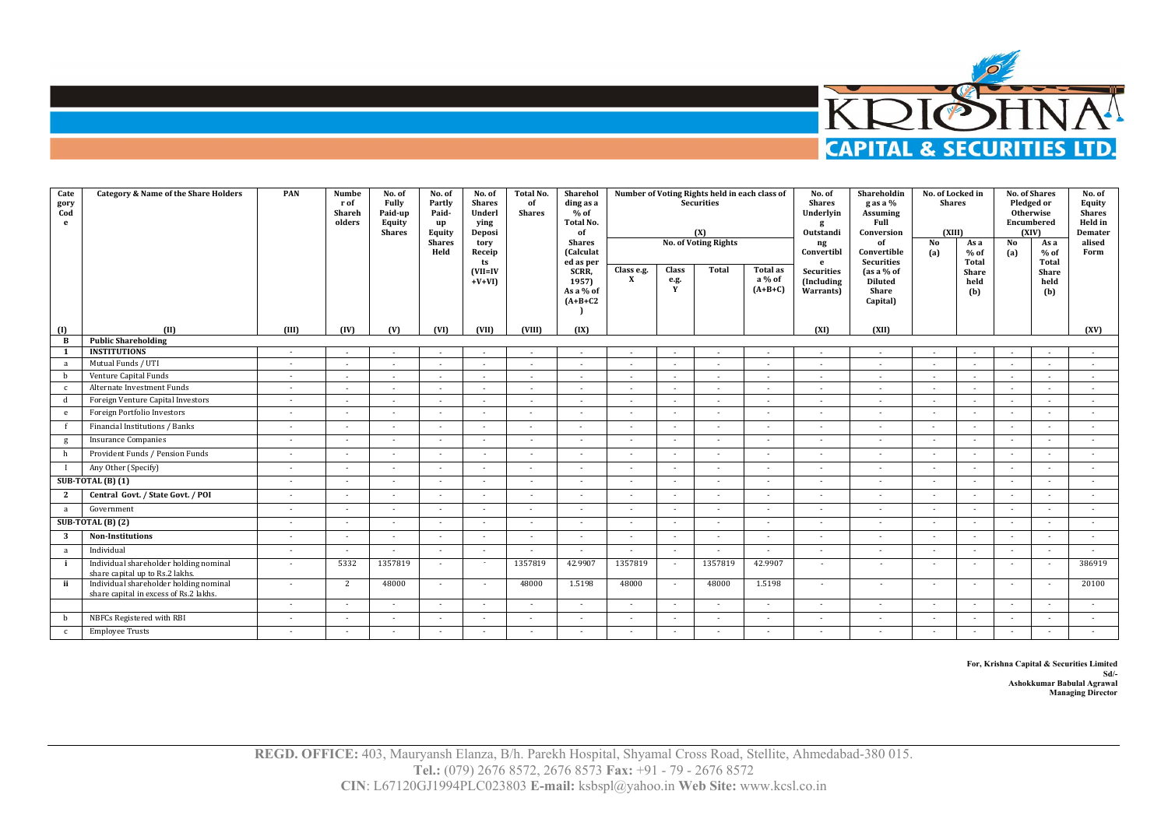

| Cate<br>gory<br>Cod<br>e | <b>Category &amp; Name of the Share Holders</b>                                  | PAN         | <b>Numbe</b><br>rof<br>Shareh<br>olders | No. of<br>Fully<br>Paid-up<br>Equity<br><b>Shares</b> | No. of<br>Partly<br>Paid-<br>up<br>Equity<br><b>Shares</b><br>Held | No. of<br><b>Shares</b><br>Underl<br>ying<br>Deposi<br>tory<br>Receip<br>ts<br>$(VII=IV)$<br>$+V+VI$ | <b>Total No.</b><br>of<br><b>Shares</b> | Sharehol<br>ding as a<br>$%$ of<br>Total No.<br>of<br><b>Shares</b><br>(Calculat<br>ed as per<br>SCRR,<br>1957)<br>As a % of<br>$(A+B+C2$ | Number of Voting Rights held in each class of<br>Class e.g.<br>$\mathbf{x}$ | <b>Securities</b><br>(X)<br><b>No. of Voting Rights</b><br>Total<br><b>Class</b><br><b>Total as</b><br>a % of<br>e.g.<br>Y<br>$(A+B+C)$ |                          |                          |                          |        |        | No. of<br><b>Shares</b><br>Underlyin<br>g<br>Outstandi<br>ng<br>Convertibl<br>e<br><b>Securities</b><br>(Including<br>Warrants) | Shareholdin<br>g as a %<br><b>Assuming</b><br>Full<br>Conversion<br>of<br>Convertible<br><b>Securities</b><br>$\int$ as a % of<br><b>Diluted</b><br>Share<br>Capital) | No. of Locked in<br><b>Shares</b><br>(XIII)<br>No<br>(a) | As a<br>$%$ of<br>Total<br>Share<br>held<br>(b) | Pledged or<br>Otherwise<br>Encumbered<br>No<br>(a) | No. of Shares<br>(XIV)<br>As a<br>$%$ of<br>Total<br>Share<br>held<br>(b) | No. of<br>Equity<br><b>Shares</b><br>Held in<br>Demater<br>alised<br>Form |
|--------------------------|----------------------------------------------------------------------------------|-------------|-----------------------------------------|-------------------------------------------------------|--------------------------------------------------------------------|------------------------------------------------------------------------------------------------------|-----------------------------------------|-------------------------------------------------------------------------------------------------------------------------------------------|-----------------------------------------------------------------------------|-----------------------------------------------------------------------------------------------------------------------------------------|--------------------------|--------------------------|--------------------------|--------|--------|---------------------------------------------------------------------------------------------------------------------------------|-----------------------------------------------------------------------------------------------------------------------------------------------------------------------|----------------------------------------------------------|-------------------------------------------------|----------------------------------------------------|---------------------------------------------------------------------------|---------------------------------------------------------------------------|
| (1)                      | m                                                                                | <b>THIT</b> | (IV)                                    | (V)                                                   | (VI)                                                               | (VII)                                                                                                | (VIII)                                  | (IX)                                                                                                                                      |                                                                             |                                                                                                                                         |                          |                          | (XI)                     | (XII)  |        |                                                                                                                                 |                                                                                                                                                                       |                                                          | (XV)                                            |                                                    |                                                                           |                                                                           |
| B                        | <b>Public Shareholding</b>                                                       |             |                                         |                                                       |                                                                    |                                                                                                      |                                         |                                                                                                                                           |                                                                             |                                                                                                                                         |                          |                          |                          |        |        |                                                                                                                                 |                                                                                                                                                                       |                                                          |                                                 |                                                    |                                                                           |                                                                           |
| -1                       | <b>INSTITUTIONS</b>                                                              | $\sim$      |                                         |                                                       |                                                                    |                                                                                                      |                                         |                                                                                                                                           |                                                                             |                                                                                                                                         |                          |                          | $\sim$                   |        |        |                                                                                                                                 |                                                                                                                                                                       |                                                          |                                                 |                                                    |                                                                           |                                                                           |
| a                        | Mutual Funds / UTI                                                               | $\sim$      |                                         |                                                       | $\sim$                                                             | $\sim$                                                                                               |                                         |                                                                                                                                           |                                                                             | $\sim$                                                                                                                                  | $\sim$                   | $\sim$                   | $\sim$                   | $\sim$ |        |                                                                                                                                 |                                                                                                                                                                       | $\sim$                                                   |                                                 |                                                    |                                                                           |                                                                           |
| h                        | Venture Capital Funds                                                            | $\sim$      | $\sim$                                  | $\sim$                                                | $\sim$                                                             | $\sim$                                                                                               | $\sim$                                  | $\sim$                                                                                                                                    | $\sim$                                                                      | $\sim$                                                                                                                                  | $\sim$                   | $\sim$                   | $\sim$                   | $\sim$ | $\sim$ | $\sim$                                                                                                                          |                                                                                                                                                                       | $\sim$                                                   | $\sim$                                          |                                                    |                                                                           |                                                                           |
| $\mathbf{c}$             | Alternate Investment Funds                                                       |             |                                         |                                                       |                                                                    |                                                                                                      |                                         |                                                                                                                                           |                                                                             |                                                                                                                                         |                          | $\sim$                   | $\overline{\phantom{a}}$ | $\sim$ |        |                                                                                                                                 |                                                                                                                                                                       |                                                          |                                                 |                                                    |                                                                           |                                                                           |
| d                        | Foreign Venture Capital Investors                                                | $\sim$      |                                         |                                                       |                                                                    |                                                                                                      |                                         |                                                                                                                                           |                                                                             |                                                                                                                                         |                          |                          | $\overline{\phantom{a}}$ | $\sim$ |        |                                                                                                                                 |                                                                                                                                                                       | $\sim$                                                   |                                                 |                                                    |                                                                           |                                                                           |
| e                        | Foreign Portfolio Investors                                                      | $\sim$      | $\sim$                                  | $\sim$                                                | $\sim$                                                             | $\sim$                                                                                               | $\sim$                                  | $\sim$                                                                                                                                    | $\sim$                                                                      | $\sim$                                                                                                                                  | $\sim$                   | $\sim$                   | ٠                        | $\sim$ | $\sim$ | $\sim$                                                                                                                          | $\sim$                                                                                                                                                                | $\sim$                                                   | $\sim$                                          |                                                    |                                                                           |                                                                           |
|                          | Financial Institutions / Banks                                                   | $\sim$      | $\sim$                                  | $\sim$                                                | $\overline{\phantom{a}}$                                           | $\sim$                                                                                               | $\sim$                                  | $\sim$                                                                                                                                    | $\sim$                                                                      | $\sim$                                                                                                                                  | $\sim$                   | $\sim$                   | $\sim$                   | $\sim$ | $\sim$ | $\sim$                                                                                                                          | $\sim$                                                                                                                                                                | $\sim$                                                   | $\sim$                                          |                                                    |                                                                           |                                                                           |
| g                        | <b>Insurance Companies</b>                                                       | $\sim$      | $\sim$                                  | $\sim$                                                | $\sim$                                                             | $\sim$                                                                                               | $\sim$                                  | $\sim$                                                                                                                                    | $\sim$                                                                      | $\sim$                                                                                                                                  | $\sim$                   | $\sim$                   | $\sim$                   | $\sim$ | $\sim$ | $\sim$                                                                                                                          | $\sim$                                                                                                                                                                | $\sim$                                                   | $\sim$                                          |                                                    |                                                                           |                                                                           |
|                          | Provident Funds / Pension Funds                                                  | $\sim$      | $\sim$                                  | $\sim$                                                | $\sim$                                                             | ۰.                                                                                                   | $\overline{\phantom{a}}$                | $\sim$                                                                                                                                    | $\overline{\phantom{a}}$                                                    |                                                                                                                                         | $\sim$                   | $\overline{a}$           | $\sim$                   |        | $\sim$ |                                                                                                                                 | $\sim$                                                                                                                                                                | $\sim$                                                   |                                                 |                                                    |                                                                           |                                                                           |
|                          | Any Other (Specify)                                                              | $\sim$      | $\sim$                                  |                                                       | $\sim$                                                             | $\overline{a}$                                                                                       | ×.                                      | $\sim$                                                                                                                                    | $\sim$                                                                      |                                                                                                                                         | $\overline{\phantom{a}}$ | $\overline{\phantom{a}}$ | $\sim$                   | $\sim$ | $\sim$ |                                                                                                                                 | $\overline{\phantom{a}}$                                                                                                                                              | $\sim$                                                   | $\sim$                                          |                                                    |                                                                           |                                                                           |
|                          | <b>SUB-TOTAL (B) (1)</b>                                                         | $\sim$      | $\sim$                                  | $\sim$                                                | $\sim$                                                             | ×.                                                                                                   | $\sim$                                  | $\sim$                                                                                                                                    | $\sim$                                                                      | $\sim$                                                                                                                                  | $\sim$                   | $\sim$                   | $\sim$                   | $\sim$ | $\sim$ | $\sim$                                                                                                                          | $\sim$                                                                                                                                                                | $\sim$                                                   | $\sim$                                          |                                                    |                                                                           |                                                                           |
| 2                        | Central Govt. / State Govt. / POI                                                |             | $\sim$                                  |                                                       |                                                                    |                                                                                                      |                                         | $\sim$                                                                                                                                    |                                                                             |                                                                                                                                         |                          | ٠                        | ٠                        |        |        |                                                                                                                                 |                                                                                                                                                                       | ÷                                                        |                                                 |                                                    |                                                                           |                                                                           |
| a                        | Government                                                                       |             | $\sim$                                  | $\sim$                                                | $\sim$                                                             | $\sim$                                                                                               |                                         |                                                                                                                                           | $\sim$                                                                      |                                                                                                                                         | $\sim$                   | $\sim$                   | $\sim$                   | $\sim$ | $\sim$ |                                                                                                                                 | $\sim$                                                                                                                                                                | ×.                                                       |                                                 |                                                    |                                                                           |                                                                           |
|                          | SUB-TOTAL (B) (2)                                                                | $\sim$      | $\sim$                                  | $\sim$                                                | $\sim$                                                             | $\sim$                                                                                               | ٠                                       | $\sim$                                                                                                                                    | $\sim$                                                                      | $\sim$                                                                                                                                  | $\sim$                   | ٠                        | $\sim$                   | $\sim$ | $\sim$ | $\sim$                                                                                                                          | $\sim$                                                                                                                                                                | $\sim$                                                   | $\sim$                                          |                                                    |                                                                           |                                                                           |
| 3                        | <b>Non-Institutions</b>                                                          | $\sim$      | $\sim$                                  | $\sim$                                                | $\sim$                                                             | $\sim$                                                                                               | $\sim$                                  | $\sim$                                                                                                                                    | $\sim$                                                                      | $\sim$                                                                                                                                  | $\sim$                   | ٠                        | $\sim$                   | $\sim$ | $\sim$ | $\sim$                                                                                                                          | $\sim$                                                                                                                                                                | $\sim$                                                   | $\sim$                                          |                                                    |                                                                           |                                                                           |
| a                        | Individual                                                                       |             | $\sim$                                  | $\sim$                                                | $\sim$                                                             | ٠                                                                                                    | $\sim$                                  | $\sim$                                                                                                                                    | $\overline{\phantom{a}}$                                                    | $\sim$                                                                                                                                  | $\sim$                   | $\sim$                   | $\sim$                   |        | $\sim$ |                                                                                                                                 | $\overline{\phantom{a}}$                                                                                                                                              | $\sim$                                                   | $\sim$                                          |                                                    |                                                                           |                                                                           |
|                          | Individual shareholder holding nominal<br>share capital up to Rs.2 lakhs.        | $\sim$      | 5332                                    | 1357819                                               | $\sim$                                                             | $\sim$                                                                                               | 1357819                                 | 42.9907                                                                                                                                   | 1357819                                                                     |                                                                                                                                         | 1357819                  | 42.9907                  | $\sim$                   | $\sim$ | $\sim$ |                                                                                                                                 |                                                                                                                                                                       | $\sim$                                                   | 386919                                          |                                                    |                                                                           |                                                                           |
| ii                       | Individual shareholder holding nominal<br>share capital in excess of Rs.2 lakhs. | $\sim$      | 2                                       | 48000                                                 | $\sim$                                                             | $\sim$                                                                                               | 48000                                   | 1.5198                                                                                                                                    | 48000                                                                       | $\sim$                                                                                                                                  | 48000                    | 1.5198                   | $\sim$                   | $\sim$ | $\sim$ | $\sim$                                                                                                                          | $\sim$                                                                                                                                                                | $\sim$                                                   | 20100                                           |                                                    |                                                                           |                                                                           |
|                          |                                                                                  |             | $\sim$                                  | $\sim$                                                | $\sim$                                                             | $\overline{\phantom{a}}$                                                                             | $\sim$                                  | $\sim$                                                                                                                                    | $\sim$                                                                      | $\sim$                                                                                                                                  | $\sim$                   | $\sim$                   | $\sim$                   | $\sim$ | $\sim$ | $\overline{a}$                                                                                                                  | $\sim$                                                                                                                                                                | $\sim$                                                   | $\sim$                                          |                                                    |                                                                           |                                                                           |
| b                        | NBFCs Registered with RBI                                                        | $\sim$      | $\sim$                                  |                                                       | $\sim$                                                             | $\sim$                                                                                               | ×                                       | $\sim$                                                                                                                                    | $\sim$                                                                      |                                                                                                                                         | ×                        | $\sim$                   | $\sim$                   | $\sim$ | $\sim$ |                                                                                                                                 | $\sim$                                                                                                                                                                | $\overline{\phantom{a}}$                                 |                                                 |                                                    |                                                                           |                                                                           |
| $\mathbf{C}$             | <b>Employee Trusts</b>                                                           |             |                                         |                                                       |                                                                    |                                                                                                      |                                         |                                                                                                                                           |                                                                             |                                                                                                                                         |                          |                          | $\sim$                   |        |        |                                                                                                                                 |                                                                                                                                                                       | ٠                                                        |                                                 |                                                    |                                                                           |                                                                           |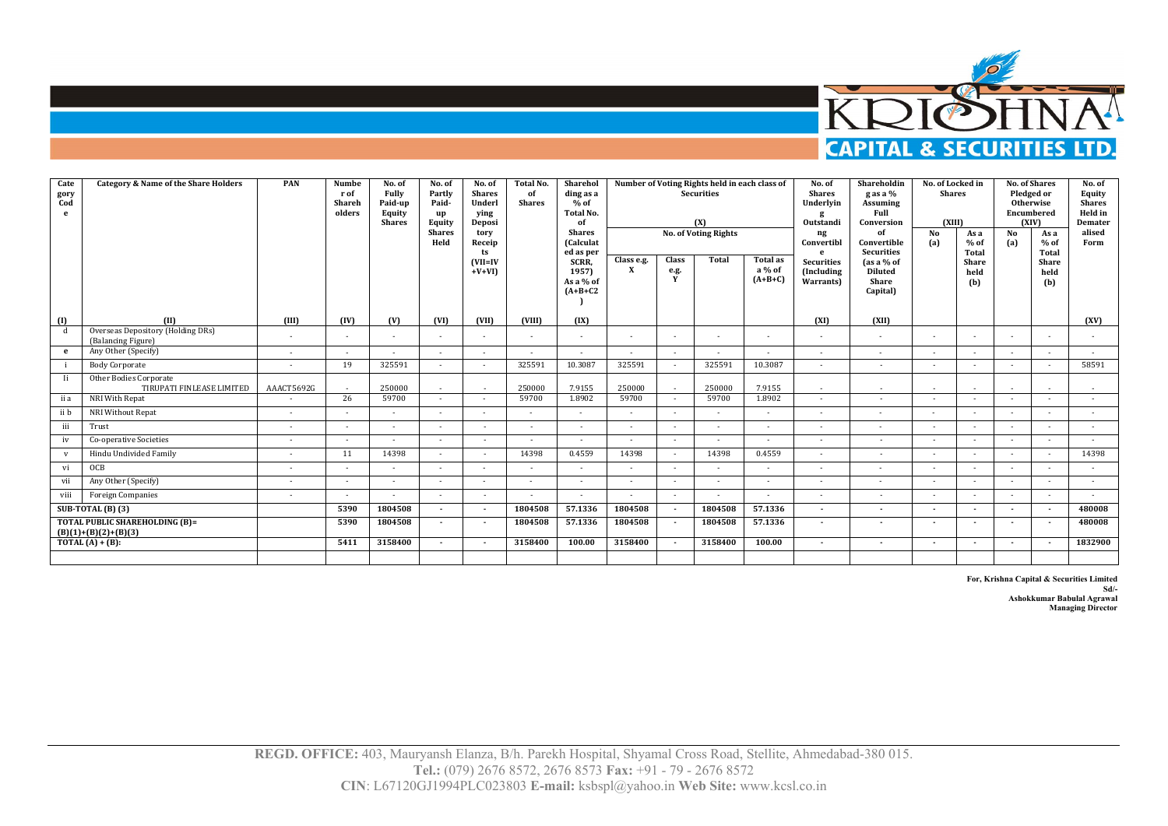

| Cate<br>gory<br>Cod<br>e | <b>Category &amp; Name of the Share Holders</b>                 | PAN                      | <b>Numbe</b><br>rof<br>Shareh<br>olders | No. of<br>Fully<br>Paid-up<br>Equity<br><b>Shares</b> | No. of<br>Partly<br>Paid-<br>up<br>Equity<br><b>Shares</b><br>Held | No. of<br><b>Shares</b><br>Underl<br>ving<br>Deposi<br>tory<br>Receip<br>ts | <b>Total No.</b><br>of<br><b>Shares</b> | Sharehol<br>ding as a<br>$%$ of<br><b>Total No.</b><br>of<br><b>Shares</b><br><b>Calculat</b><br>ed as per |                            |                    | Number of Voting Rights held in each class of<br><b>Securities</b><br>(X)<br><b>No. of Voting Rights</b> |                                        | No. of<br><b>Shares</b><br>Underlyin<br>Outstandi<br>ng<br>Convertibl<br>$\mathbf{e}$ | Shareholdin<br>g as a %<br><b>Assuming</b><br>Full<br>Conversion<br>of<br>Convertible<br><b>Securities</b> | No. of Locked in<br><b>Shares</b><br>(XIII)<br>No<br>(a) | As a<br>$%$ of<br>Total     | Otherwise<br>Encumbered<br><b>No</b><br>(a) | <b>No. of Shares</b><br>Pledged or<br>(XIV)<br>As a<br>$%$ of<br><b>Total</b> | No. of<br>Equity<br><b>Shares</b><br>Held in<br>Demater<br>alised<br>Form |
|--------------------------|-----------------------------------------------------------------|--------------------------|-----------------------------------------|-------------------------------------------------------|--------------------------------------------------------------------|-----------------------------------------------------------------------------|-----------------------------------------|------------------------------------------------------------------------------------------------------------|----------------------------|--------------------|----------------------------------------------------------------------------------------------------------|----------------------------------------|---------------------------------------------------------------------------------------|------------------------------------------------------------------------------------------------------------|----------------------------------------------------------|-----------------------------|---------------------------------------------|-------------------------------------------------------------------------------|---------------------------------------------------------------------------|
|                          |                                                                 |                          |                                         |                                                       |                                                                    | $(VII=IV)$<br>$+V+VI$                                                       |                                         | SCRR,<br>1957)<br>As a % of<br>$(A+B+C2$                                                                   | Class e.g.<br>$\mathbf{x}$ | Class<br>e.g.<br>Y | Total                                                                                                    | <b>Total as</b><br>a % of<br>$(A+B+C)$ | <b>Securities</b><br>(Including)<br>Warrants)                                         | $\int$ as a % of<br><b>Diluted</b><br>Share<br>Capital)                                                    |                                                          | <b>Share</b><br>held<br>(b) |                                             | <b>Share</b><br>held<br>(b)                                                   |                                                                           |
| (1)                      | (II)                                                            | <b>III</b> )             | (IV)                                    | (V)                                                   | (VI)                                                               | (VII)                                                                       | <b>CVIII)</b>                           | (IX)                                                                                                       |                            |                    |                                                                                                          |                                        | (XI)                                                                                  | (XII)                                                                                                      |                                                          |                             |                                             |                                                                               | (XV)                                                                      |
| d                        | Overseas Depository (Holding DRs)<br>(Balancing Figure)         | $\sim$                   |                                         | $\sim$                                                | $\sim$                                                             | ٠                                                                           | ٠                                       | $\sim$                                                                                                     | $\overline{\phantom{a}}$   |                    |                                                                                                          |                                        | $\sim$                                                                                | $\sim$                                                                                                     | $\sim$                                                   |                             |                                             | $\sim$                                                                        |                                                                           |
| $\mathbf{e}$             | Any Other (Specify)                                             |                          |                                         |                                                       | $\overline{\phantom{a}}$                                           | $\overline{a}$                                                              |                                         | $\overline{a}$                                                                                             | ٠                          | $\sim$             | $\overline{\phantom{a}}$                                                                                 |                                        |                                                                                       | $\overline{\phantom{a}}$                                                                                   | $\overline{a}$                                           |                             |                                             | $\overline{a}$                                                                | ٠                                                                         |
|                          | <b>Body Corporate</b>                                           | $\sim$                   | 19                                      | 325591                                                | $\sim$                                                             | $\overline{a}$                                                              | 325591                                  | 10.3087                                                                                                    | 325591                     |                    | 325591                                                                                                   | 10.3087                                | $\sim$                                                                                | $\sim$                                                                                                     | $\sim$                                                   |                             | $\sim$                                      | $\sim$                                                                        | 58591                                                                     |
| - Ii                     | Other Bodies Corporate<br>TIRUPATI FINLEASE LIMITED             | AAACT5692G               |                                         | 250000                                                | $\sim$                                                             | $\sim$                                                                      | 250000                                  | 7.9155                                                                                                     | 250000                     |                    | 250000                                                                                                   | 7.9155                                 | $\overline{a}$                                                                        | $\sim$                                                                                                     | $\overline{\phantom{a}}$                                 |                             | $\overline{a}$                              |                                                                               |                                                                           |
| ii a                     | NRI With Repat                                                  |                          | 26                                      | 59700                                                 | $\sim$                                                             | $\overline{\phantom{a}}$                                                    | 59700                                   | 1.8902                                                                                                     | 59700                      |                    | 59700                                                                                                    | 1.8902                                 | $\sim$                                                                                | $\sim$                                                                                                     | $\sim$                                                   |                             | $\sim$                                      | $\sim$                                                                        |                                                                           |
| ii b                     | NRI Without Repat                                               | $\overline{\phantom{a}}$ | $\sim$                                  | $\sim$                                                | $\sim$                                                             | $\sim$                                                                      | $\sim$                                  | $\sim$                                                                                                     | $\sim$                     | $\sim$             | $\sim$                                                                                                   | $\sim$                                 | $\sim$                                                                                | $\sim$                                                                                                     | $\sim$                                                   | $\sim$                      | $\overline{\phantom{a}}$                    | $\sim$                                                                        | $\sim$                                                                    |
| iii                      | Trust                                                           |                          | $\overline{\phantom{a}}$                |                                                       |                                                                    |                                                                             | $\overline{\phantom{a}}$                | $\sim$                                                                                                     | $\overline{a}$             |                    |                                                                                                          | $\overline{\phantom{a}}$               | ٠                                                                                     | $\sim$                                                                                                     | $\sim$                                                   |                             |                                             | $\sim$                                                                        | $\sim$                                                                    |
| iv                       | Co-operative Societies                                          |                          | $\overline{\phantom{a}}$                | $\sim$                                                | $\sim$                                                             | $\overline{\phantom{a}}$                                                    | ٠                                       | $\sim$                                                                                                     | $\sim$                     |                    |                                                                                                          | $\sim$                                 | $\sim$                                                                                | $\sim$                                                                                                     | $\sim$                                                   |                             | $\sim$                                      | $\sim$                                                                        | $\sim$                                                                    |
| $\mathbf{v}$             | Hindu Undivided Family                                          | $\sim$                   | 11                                      | 14398                                                 | $\sim$                                                             | $\sim$                                                                      | 14398                                   | 0.4559                                                                                                     | 14398                      | $\sim$             | 14398                                                                                                    | 0.4559                                 | $\sim$                                                                                | $\sim$                                                                                                     | $\sim$                                                   | $\sim$                      | $\overline{a}$                              | $\sim$                                                                        | 14398                                                                     |
| vi                       | OCB                                                             |                          | $\sim$                                  | $\sim$                                                | $\sim$                                                             | $\overline{\phantom{a}}$                                                    | ٠                                       | $\sim$                                                                                                     | $\sim$                     |                    |                                                                                                          | $\sim$                                 | $\sim$                                                                                | $\sim$                                                                                                     | $\sim$                                                   |                             | $\sim$                                      | $\sim$                                                                        | $\sim$                                                                    |
| vii                      | Any Other (Specify)                                             |                          | $\sim$                                  | $\sim$                                                | $\sim$                                                             | ٠                                                                           | $\sim$                                  | $\sim$                                                                                                     | $\overline{a}$             |                    |                                                                                                          | $\overline{\phantom{a}}$               | $\sim$                                                                                | $\sim$                                                                                                     | $\sim$                                                   |                             | ٠.                                          | $\sim$                                                                        | $\sim$                                                                    |
| viii                     | Foreign Companies                                               | $\sim$                   | $\sim$                                  | $\sim$                                                | $\sim$                                                             | $\sim$                                                                      | $\sim$                                  | $\sim$                                                                                                     | $\sim$                     | $\sim$             | $\sim$                                                                                                   | $\sim$                                 | $\sim$                                                                                | $\sim$                                                                                                     | $\sim$                                                   | $\sim$                      | $\sim$                                      | $\sim$                                                                        | $\sim$                                                                    |
|                          | $SUB-TOTAL(B)$ (3)                                              |                          | 5390                                    | 1804508                                               | $\overline{a}$                                                     | $\sim$                                                                      | 1804508                                 | 57.1336                                                                                                    | 1804508                    |                    | 1804508                                                                                                  | 57.1336                                | $\sim$                                                                                | $\overline{\phantom{a}}$                                                                                   | $\overline{\phantom{a}}$                                 | $\sim$                      | $\overline{\phantom{a}}$                    | $\sim$                                                                        | 480008                                                                    |
|                          | <b>TOTAL PUBLIC SHAREHOLDING (B)=</b><br>$(B)(1)+(B)(2)+(B)(3)$ |                          | 5390                                    | 1804508                                               | $\overline{a}$                                                     | $\overline{\phantom{a}}$                                                    | 1804508                                 | 57.1336                                                                                                    | 1804508                    |                    | 1804508                                                                                                  | 57.1336                                | $\overline{\phantom{a}}$                                                              | $\overline{\phantom{a}}$                                                                                   | $\overline{\phantom{a}}$                                 |                             | $\overline{\phantom{a}}$                    | $\overline{a}$                                                                | 480008                                                                    |
|                          | TOTAL $(A) + (B)$ :                                             |                          | 5411                                    | 3158400                                               | $\overline{a}$                                                     | $\sim$                                                                      | 3158400                                 | 100.00                                                                                                     | 3158400                    |                    | 3158400                                                                                                  | 100.00                                 | $\overline{\phantom{a}}$                                                              | $\overline{\phantom{a}}$                                                                                   | $\overline{\phantom{a}}$                                 | $\overline{\phantom{a}}$    | $\overline{\phantom{a}}$                    | $\sim$                                                                        | 1832900                                                                   |
|                          |                                                                 |                          |                                         |                                                       |                                                                    |                                                                             |                                         |                                                                                                            |                            |                    |                                                                                                          |                                        |                                                                                       |                                                                                                            |                                                          |                             |                                             |                                                                               |                                                                           |